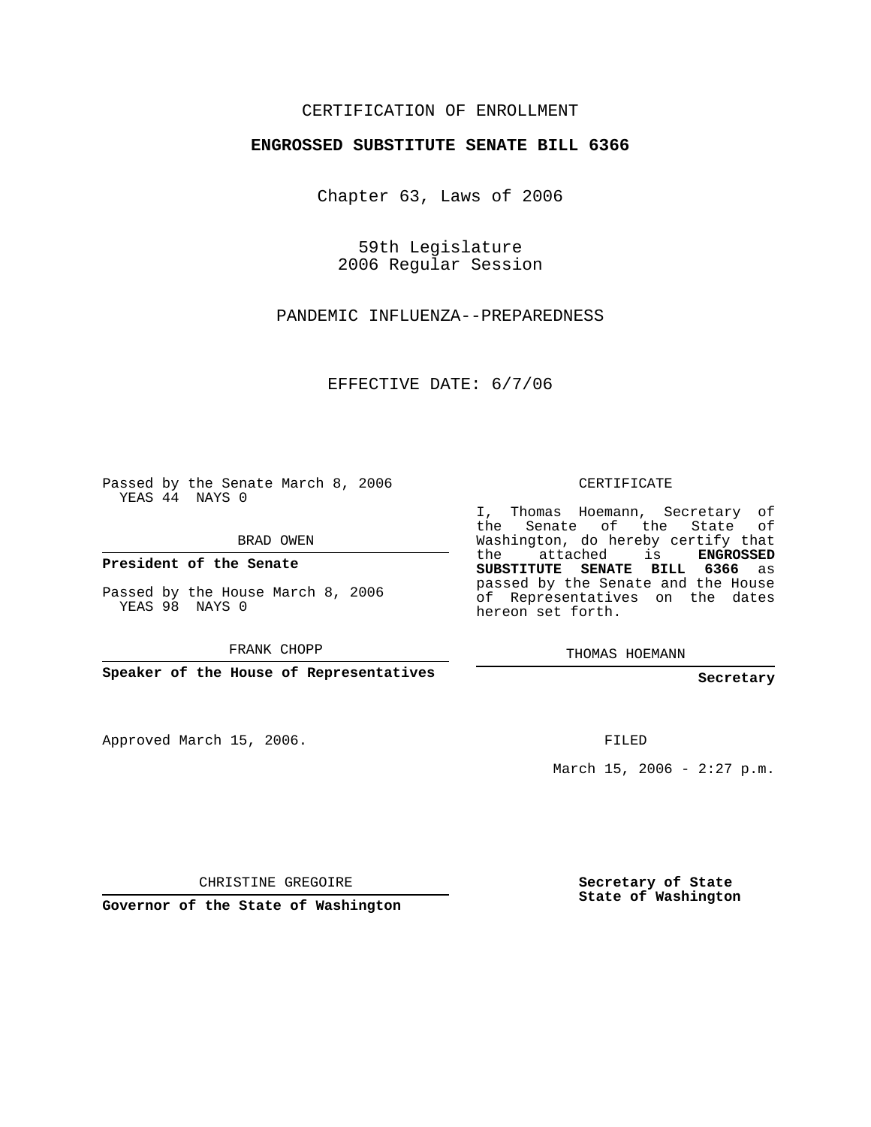### CERTIFICATION OF ENROLLMENT

#### **ENGROSSED SUBSTITUTE SENATE BILL 6366**

Chapter 63, Laws of 2006

59th Legislature 2006 Regular Session

PANDEMIC INFLUENZA--PREPAREDNESS

EFFECTIVE DATE: 6/7/06

Passed by the Senate March 8, 2006 YEAS 44 NAYS 0

BRAD OWEN

**President of the Senate**

Passed by the House March 8, 2006 YEAS 98 NAYS 0

FRANK CHOPP

**Speaker of the House of Representatives**

Approved March 15, 2006.

CERTIFICATE

I, Thomas Hoemann, Secretary of the Senate of the State of Washington, do hereby certify that the attached is **ENGROSSED SUBSTITUTE SENATE BILL 6366** as passed by the Senate and the House of Representatives on the dates hereon set forth.

THOMAS HOEMANN

**Secretary**

FILED

March 15, 2006 -  $2:27$  p.m.

CHRISTINE GREGOIRE

**Governor of the State of Washington**

**Secretary of State State of Washington**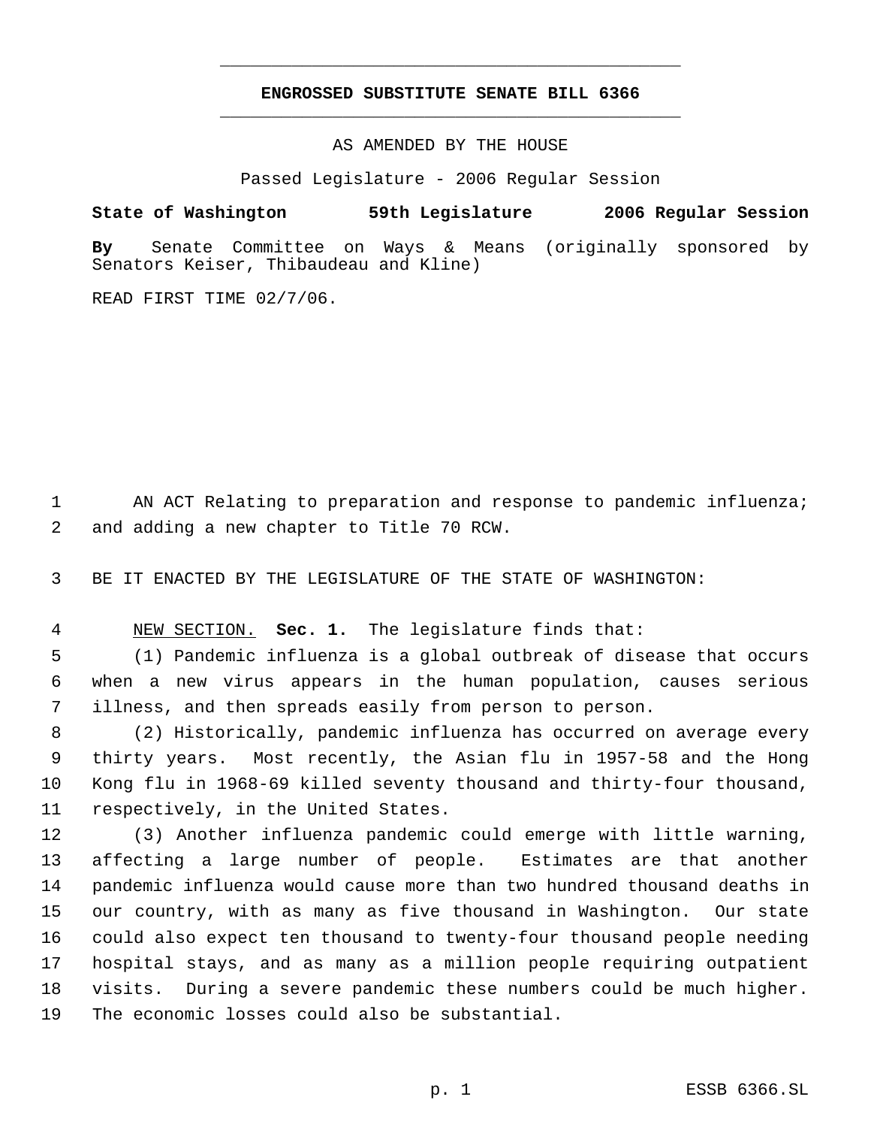## **ENGROSSED SUBSTITUTE SENATE BILL 6366** \_\_\_\_\_\_\_\_\_\_\_\_\_\_\_\_\_\_\_\_\_\_\_\_\_\_\_\_\_\_\_\_\_\_\_\_\_\_\_\_\_\_\_\_\_

\_\_\_\_\_\_\_\_\_\_\_\_\_\_\_\_\_\_\_\_\_\_\_\_\_\_\_\_\_\_\_\_\_\_\_\_\_\_\_\_\_\_\_\_\_

AS AMENDED BY THE HOUSE

Passed Legislature - 2006 Regular Session

### **State of Washington 59th Legislature 2006 Regular Session**

**By** Senate Committee on Ways & Means (originally sponsored by Senators Keiser, Thibaudeau and Kline)

READ FIRST TIME 02/7/06.

 AN ACT Relating to preparation and response to pandemic influenza; and adding a new chapter to Title 70 RCW.

BE IT ENACTED BY THE LEGISLATURE OF THE STATE OF WASHINGTON:

NEW SECTION. **Sec. 1.** The legislature finds that:

 (1) Pandemic influenza is a global outbreak of disease that occurs when a new virus appears in the human population, causes serious illness, and then spreads easily from person to person.

 (2) Historically, pandemic influenza has occurred on average every thirty years. Most recently, the Asian flu in 1957-58 and the Hong Kong flu in 1968-69 killed seventy thousand and thirty-four thousand, respectively, in the United States.

 (3) Another influenza pandemic could emerge with little warning, affecting a large number of people. Estimates are that another pandemic influenza would cause more than two hundred thousand deaths in our country, with as many as five thousand in Washington. Our state could also expect ten thousand to twenty-four thousand people needing hospital stays, and as many as a million people requiring outpatient visits. During a severe pandemic these numbers could be much higher. The economic losses could also be substantial.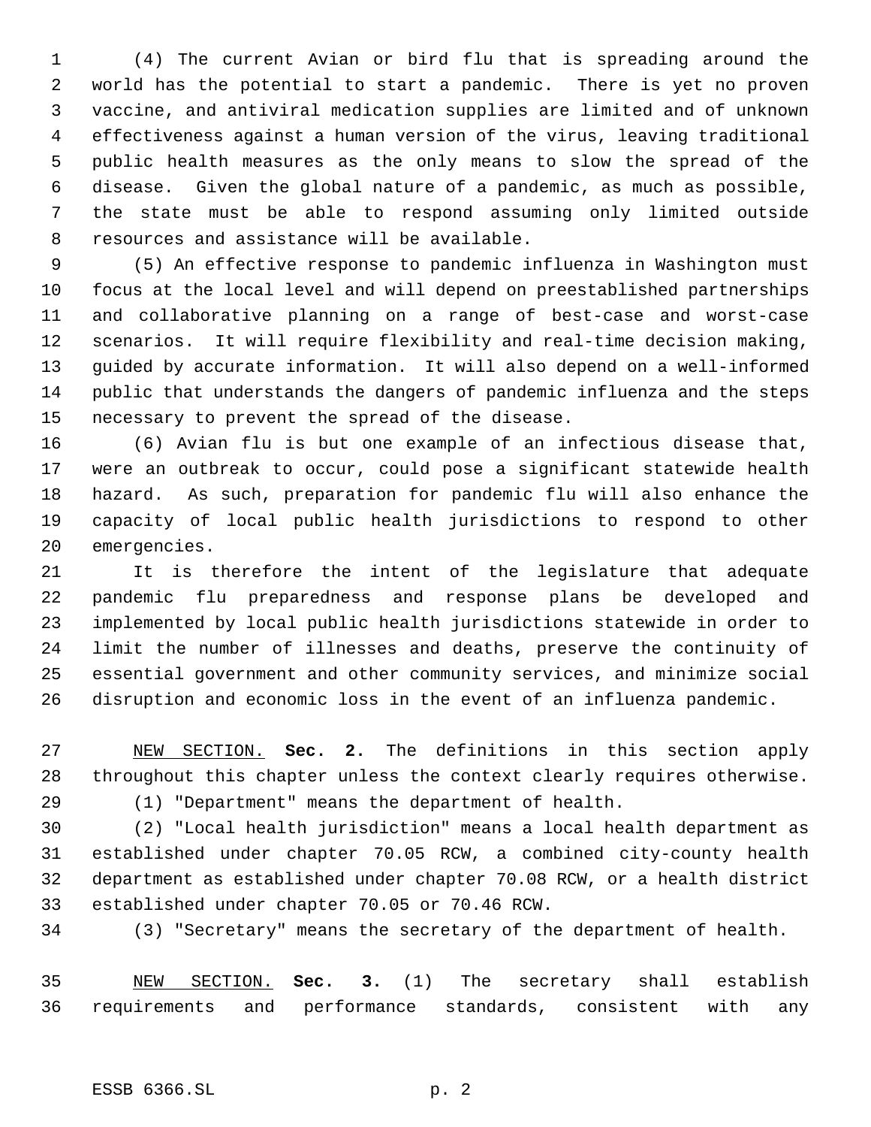(4) The current Avian or bird flu that is spreading around the world has the potential to start a pandemic. There is yet no proven vaccine, and antiviral medication supplies are limited and of unknown effectiveness against a human version of the virus, leaving traditional public health measures as the only means to slow the spread of the disease. Given the global nature of a pandemic, as much as possible, the state must be able to respond assuming only limited outside resources and assistance will be available.

 (5) An effective response to pandemic influenza in Washington must focus at the local level and will depend on preestablished partnerships and collaborative planning on a range of best-case and worst-case scenarios. It will require flexibility and real-time decision making, guided by accurate information. It will also depend on a well-informed public that understands the dangers of pandemic influenza and the steps necessary to prevent the spread of the disease.

 (6) Avian flu is but one example of an infectious disease that, were an outbreak to occur, could pose a significant statewide health hazard. As such, preparation for pandemic flu will also enhance the capacity of local public health jurisdictions to respond to other emergencies.

 It is therefore the intent of the legislature that adequate pandemic flu preparedness and response plans be developed and implemented by local public health jurisdictions statewide in order to limit the number of illnesses and deaths, preserve the continuity of essential government and other community services, and minimize social disruption and economic loss in the event of an influenza pandemic.

 NEW SECTION. **Sec. 2.** The definitions in this section apply throughout this chapter unless the context clearly requires otherwise.

(1) "Department" means the department of health.

 (2) "Local health jurisdiction" means a local health department as established under chapter 70.05 RCW, a combined city-county health department as established under chapter 70.08 RCW, or a health district established under chapter 70.05 or 70.46 RCW.

(3) "Secretary" means the secretary of the department of health.

 NEW SECTION. **Sec. 3.** (1) The secretary shall establish requirements and performance standards, consistent with any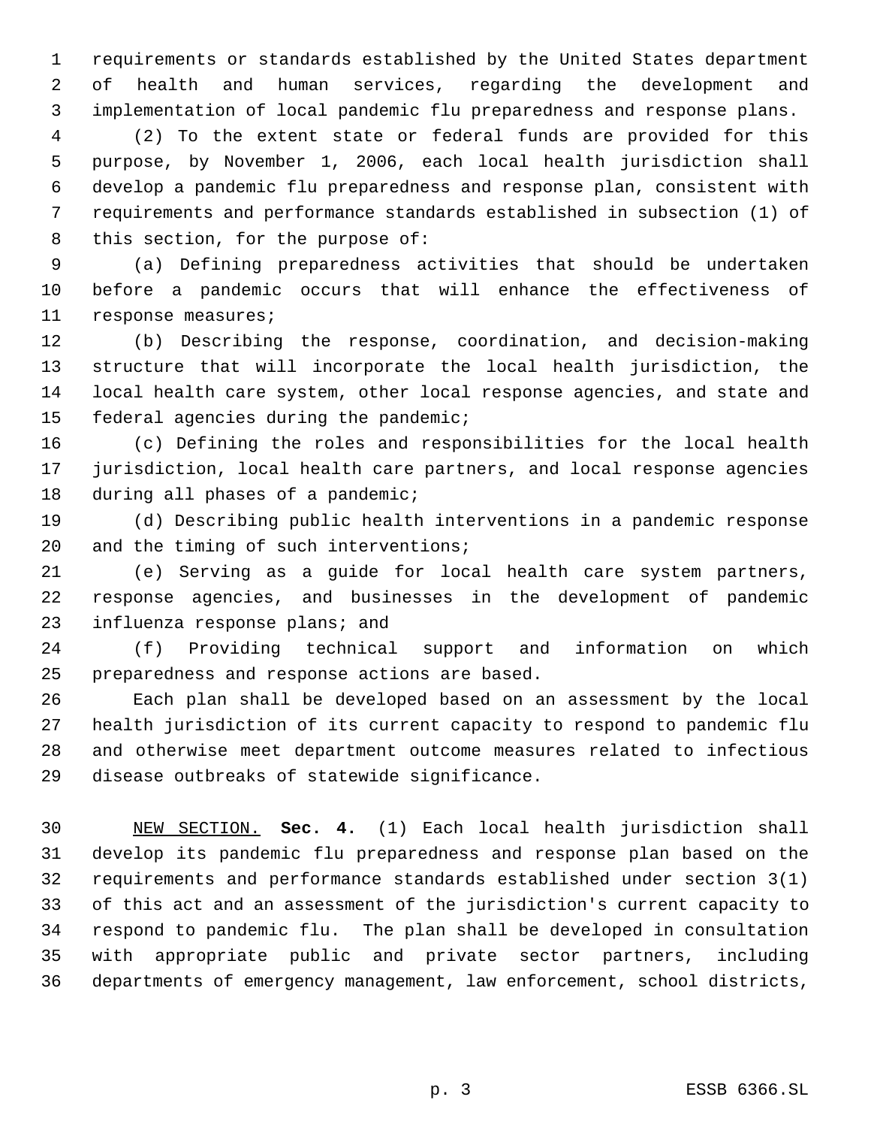requirements or standards established by the United States department of health and human services, regarding the development and implementation of local pandemic flu preparedness and response plans.

 (2) To the extent state or federal funds are provided for this purpose, by November 1, 2006, each local health jurisdiction shall develop a pandemic flu preparedness and response plan, consistent with requirements and performance standards established in subsection (1) of 8 this section, for the purpose of:

 (a) Defining preparedness activities that should be undertaken before a pandemic occurs that will enhance the effectiveness of response measures;

 (b) Describing the response, coordination, and decision-making structure that will incorporate the local health jurisdiction, the local health care system, other local response agencies, and state and federal agencies during the pandemic;

 (c) Defining the roles and responsibilities for the local health jurisdiction, local health care partners, and local response agencies 18 during all phases of a pandemic;

 (d) Describing public health interventions in a pandemic response and the timing of such interventions;

 (e) Serving as a guide for local health care system partners, response agencies, and businesses in the development of pandemic 23 influenza response plans; and

 (f) Providing technical support and information on which preparedness and response actions are based.

 Each plan shall be developed based on an assessment by the local health jurisdiction of its current capacity to respond to pandemic flu and otherwise meet department outcome measures related to infectious disease outbreaks of statewide significance.

 NEW SECTION. **Sec. 4.** (1) Each local health jurisdiction shall develop its pandemic flu preparedness and response plan based on the requirements and performance standards established under section 3(1) of this act and an assessment of the jurisdiction's current capacity to respond to pandemic flu. The plan shall be developed in consultation with appropriate public and private sector partners, including departments of emergency management, law enforcement, school districts,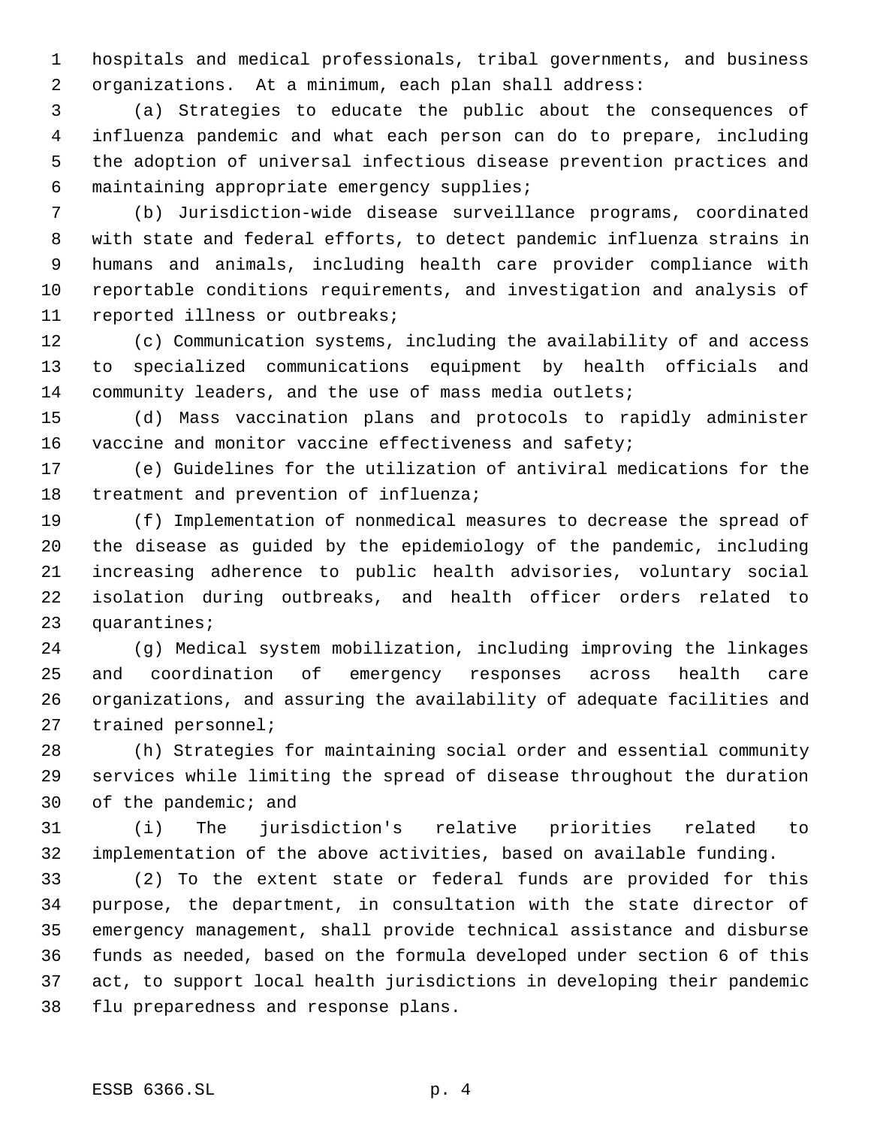hospitals and medical professionals, tribal governments, and business organizations. At a minimum, each plan shall address:

 (a) Strategies to educate the public about the consequences of influenza pandemic and what each person can do to prepare, including the adoption of universal infectious disease prevention practices and maintaining appropriate emergency supplies;

 (b) Jurisdiction-wide disease surveillance programs, coordinated with state and federal efforts, to detect pandemic influenza strains in humans and animals, including health care provider compliance with reportable conditions requirements, and investigation and analysis of reported illness or outbreaks;

 (c) Communication systems, including the availability of and access to specialized communications equipment by health officials and community leaders, and the use of mass media outlets;

 (d) Mass vaccination plans and protocols to rapidly administer 16 vaccine and monitor vaccine effectiveness and safety;

 (e) Guidelines for the utilization of antiviral medications for the treatment and prevention of influenza;

 (f) Implementation of nonmedical measures to decrease the spread of the disease as guided by the epidemiology of the pandemic, including increasing adherence to public health advisories, voluntary social isolation during outbreaks, and health officer orders related to quarantines;

 (g) Medical system mobilization, including improving the linkages and coordination of emergency responses across health care organizations, and assuring the availability of adequate facilities and trained personnel;

 (h) Strategies for maintaining social order and essential community services while limiting the spread of disease throughout the duration of the pandemic; and

 (i) The jurisdiction's relative priorities related to implementation of the above activities, based on available funding.

 (2) To the extent state or federal funds are provided for this purpose, the department, in consultation with the state director of emergency management, shall provide technical assistance and disburse funds as needed, based on the formula developed under section 6 of this act, to support local health jurisdictions in developing their pandemic flu preparedness and response plans.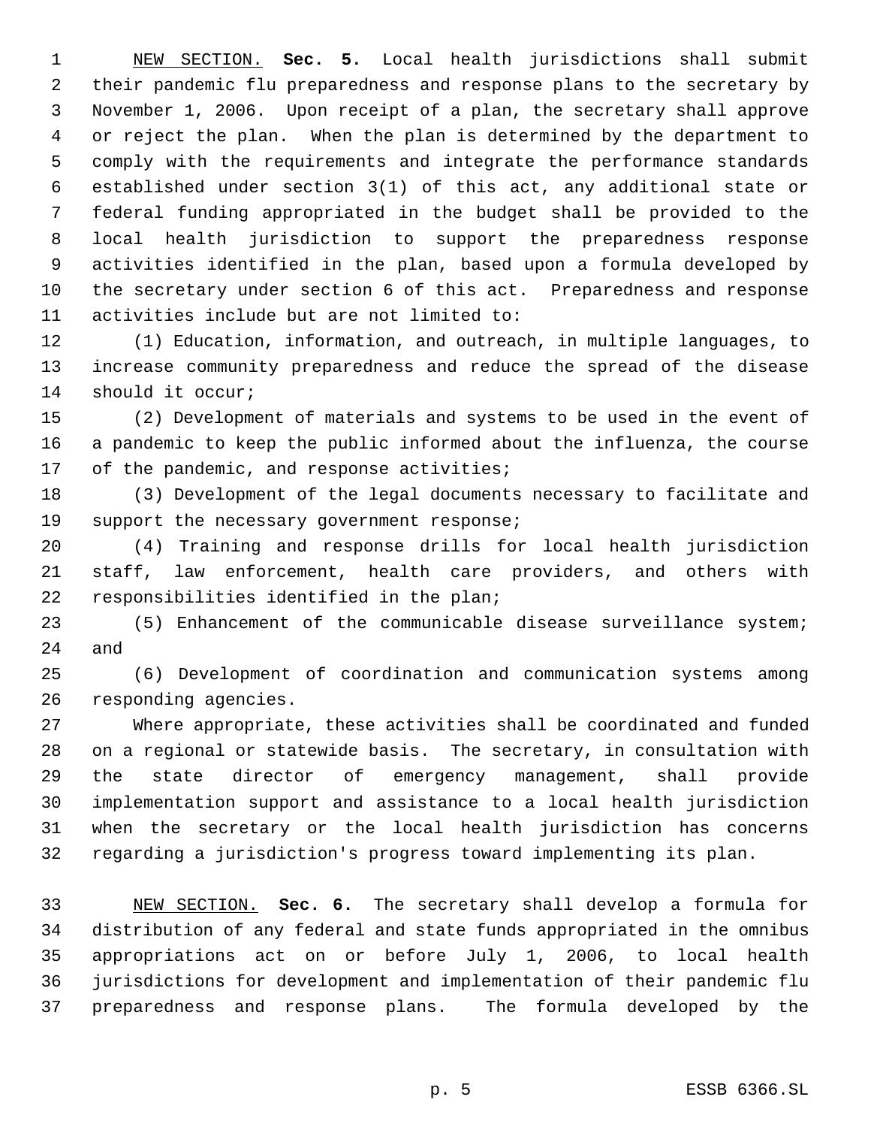NEW SECTION. **Sec. 5.** Local health jurisdictions shall submit their pandemic flu preparedness and response plans to the secretary by November 1, 2006. Upon receipt of a plan, the secretary shall approve or reject the plan. When the plan is determined by the department to comply with the requirements and integrate the performance standards established under section 3(1) of this act, any additional state or federal funding appropriated in the budget shall be provided to the local health jurisdiction to support the preparedness response activities identified in the plan, based upon a formula developed by the secretary under section 6 of this act. Preparedness and response activities include but are not limited to:

 (1) Education, information, and outreach, in multiple languages, to increase community preparedness and reduce the spread of the disease should it occur;

 (2) Development of materials and systems to be used in the event of a pandemic to keep the public informed about the influenza, the course 17 of the pandemic, and response activities;

 (3) Development of the legal documents necessary to facilitate and 19 support the necessary government response;

 (4) Training and response drills for local health jurisdiction staff, law enforcement, health care providers, and others with responsibilities identified in the plan;

 (5) Enhancement of the communicable disease surveillance system; and

 (6) Development of coordination and communication systems among responding agencies.

 Where appropriate, these activities shall be coordinated and funded on a regional or statewide basis. The secretary, in consultation with the state director of emergency management, shall provide implementation support and assistance to a local health jurisdiction when the secretary or the local health jurisdiction has concerns regarding a jurisdiction's progress toward implementing its plan.

 NEW SECTION. **Sec. 6.** The secretary shall develop a formula for distribution of any federal and state funds appropriated in the omnibus appropriations act on or before July 1, 2006, to local health jurisdictions for development and implementation of their pandemic flu preparedness and response plans. The formula developed by the